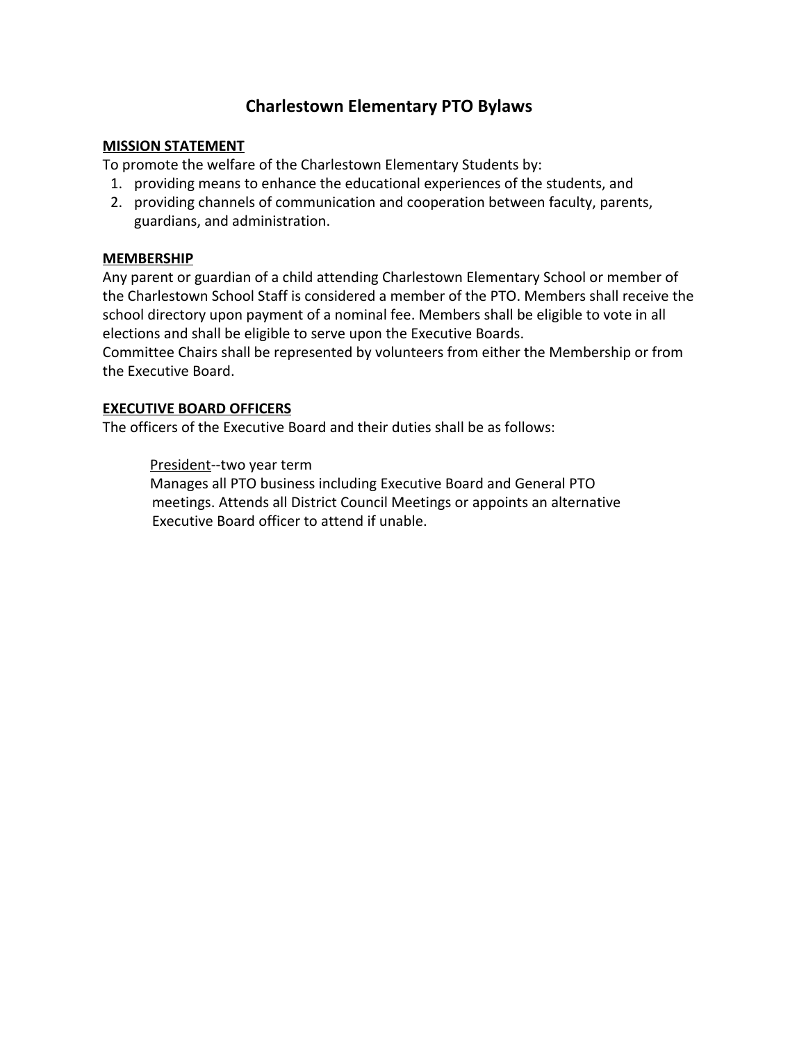# **Charlestown Elementary PTO Bylaws**

#### **MISSION STATEMENT**

To promote the welfare of the Charlestown Elementary Students by:

- 1. providing means to enhance the educational experiences of the students, and
- 2. providing channels of communication and cooperation between faculty, parents, guardians, and administration.

#### **MEMBERSHIP**

Any parent or guardian of a child attending Charlestown Elementary School or member of the Charlestown School Staff is considered a member of the PTO. Members shall receive the school directory upon payment of a nominal fee. Members shall be eligible to vote in all elections and shall be eligible to serve upon the Executive Boards.

Committee Chairs shall be represented by volunteers from either the Membership or from the Executive Board.

# **EXECUTIVE BOARD OFFICERS**

The officers of the Executive Board and their duties shall be as follows:

President‐‐two year term

Manages all PTO business including Executive Board and General PTO meetings. Attends all District Council Meetings or appoints an alternative Executive Board officer to attend if unable.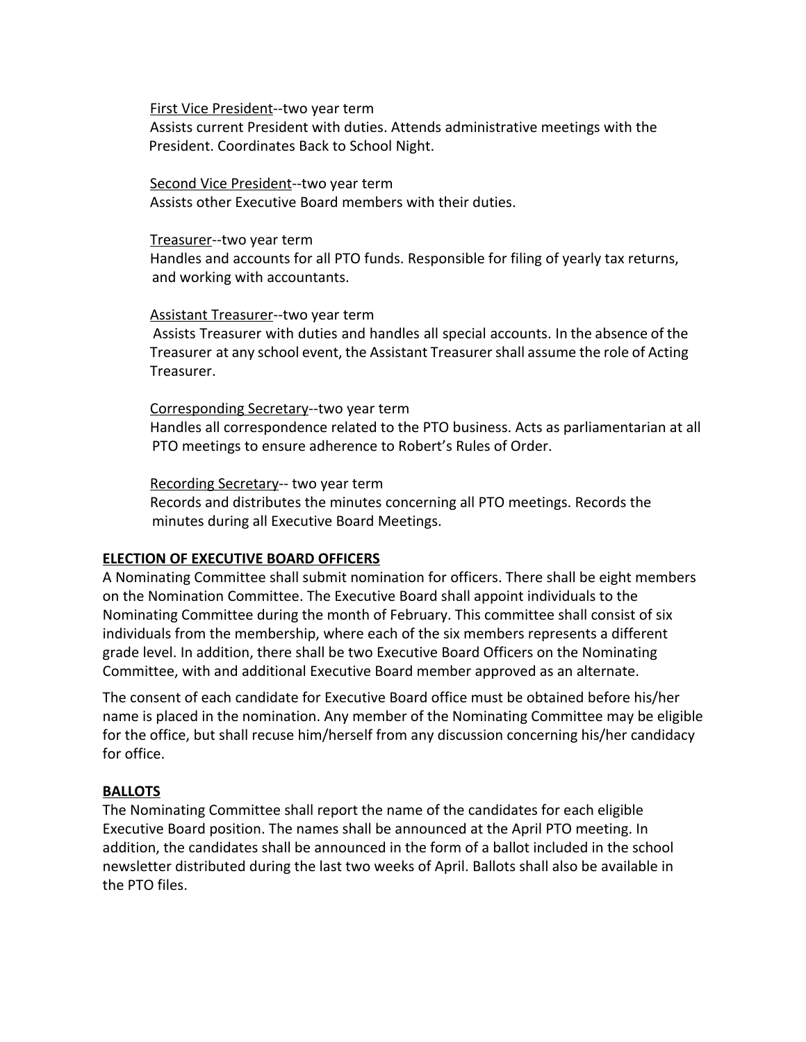First Vice President‐‐two year term

Assists current President with duties. Attends administrative meetings with the President. Coordinates Back to School Night.

Second Vice President‐‐two year term Assists other Executive Board members with their duties.

#### Treasurer‐‐two year term

Handles and accounts for all PTO funds. Responsible for filing of yearly tax returns, and working with accountants.

#### Assistant Treasurer‐‐two year term

Assists Treasurer with duties and handles all special accounts. In the absence of the Treasurer at any school event, the Assistant Treasurershall assume the role of Acting Treasurer.

Corresponding Secretary‐‐two year term Handles all correspondence related to the PTO business. Acts as parliamentarian at all PTO meetings to ensure adherence to Robert's Rules of Order.

Recording Secretary-- two year term

Records and distributes the minutes concerning all PTO meetings. Records the minutes during all Executive Board Meetings.

# **ELECTION OF EXECUTIVE BOARD OFFICERS**

A Nominating Committee shall submit nomination for officers. There shall be eight members on the Nomination Committee. The Executive Board shall appoint individuals to the Nominating Committee during the month of February. This committee shall consist of six individuals from the membership, where each of the six members represents a different grade level. In addition, there shall be two Executive Board Officers on the Nominating Committee, with and additional Executive Board member approved as an alternate.

The consent of each candidate for Executive Board office must be obtained before his/her name is placed in the nomination. Any member of the Nominating Committee may be eligible for the office, but shall recuse him/herself from any discussion concerning his/her candidacy for office.

# **BALLOTS**

The Nominating Committee shall report the name of the candidates for each eligible Executive Board position. The names shall be announced at the April PTO meeting. In addition, the candidates shall be announced in the form of a ballot included in the school newsletter distributed during the last two weeks of April. Ballots shall also be available in the PTO files.